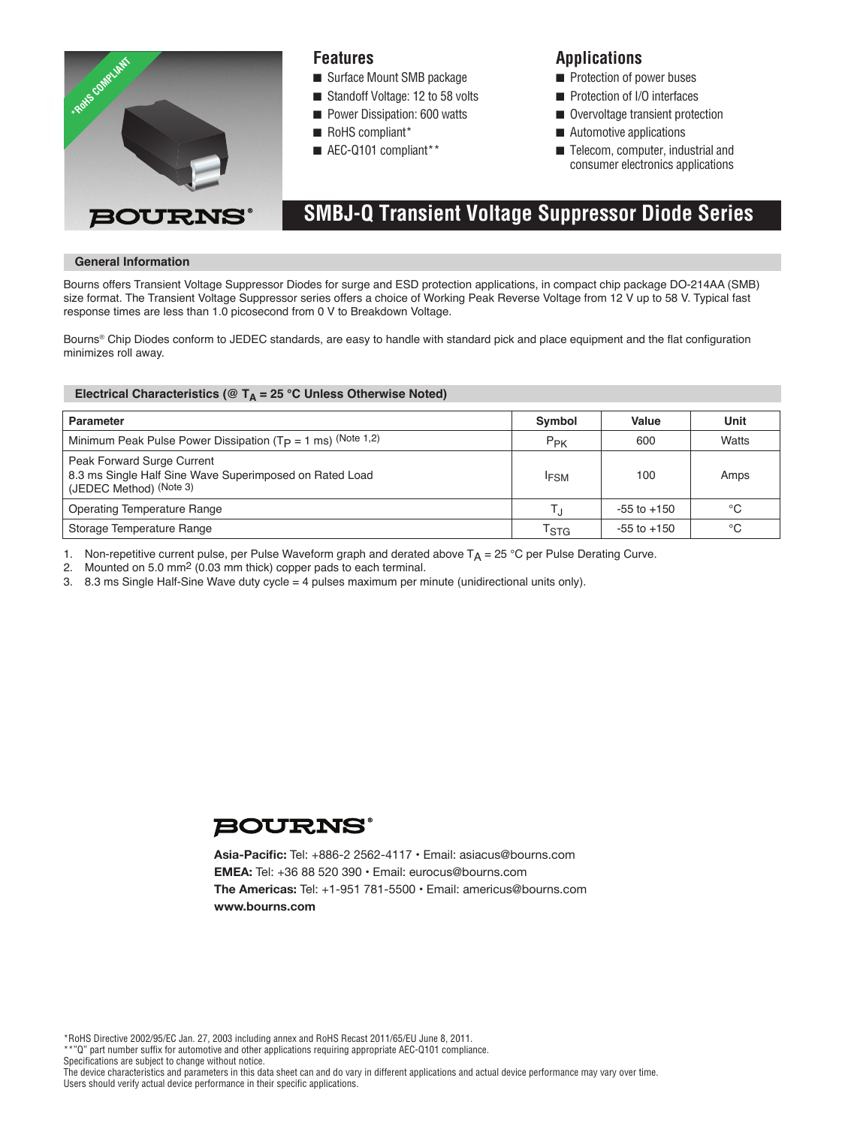

## **Features**

- Surface Mount SMB package
- Standoff Voltage: 12 to 58 volts
- **n** Power Dissipation: 600 watts
- RoHS compliant\*
- $\blacksquare$  AEC-Q101 compliant\*\*

## **Applications**

- $\blacksquare$  Protection of power buses
- **n** Protection of I/O interfaces
- Overvoltage transient protection
- $\blacksquare$  Automotive applications
- $\blacksquare$  Telecom, computer, industrial and consumer electronics applications

# **SMBJ-Q Transient Voltage Suppressor Diode Series**

### **General Information**

Bourns offers Transient Voltage Suppressor Diodes for surge and ESD protection applications, in compact chip package DO-214AA (SMB) Bourns offers Transient Voltage Suppressor Diodes for surge and ESD protection applications, in compact chip package DO-214AA (SME<br>size format. The Transient Voltage Suppressor series offers a choice of Working Peak Revers response times are less than 1.0 picosecond from 0 V to Breakdown Voltage.

Bourns® Chip Diodes conform to JEDEC standards, are easy to handle with standard pick and place equipment and the flat configuration minimizes roll away.

### Electrical Characteristics ( $@T_A = 25 °C$  Unless Otherwise Noted)

| <b>Parameter</b>                                                                                                 | Symbol           | Value           | Unit  |
|------------------------------------------------------------------------------------------------------------------|------------------|-----------------|-------|
| Minimum Peak Pulse Power Dissipation ( $T_P = 1$ ms) (Note 1,2)                                                  | $P_{PK}$         | 600             | Watts |
| Peak Forward Surge Current<br>8.3 ms Single Half Sine Wave Superimposed on Rated Load<br>(JEDEC Method) (Note 3) | <sup>I</sup> FSM | 100             | Amps  |
| <b>Operating Temperature Range</b>                                                                               |                  | $-55$ to $+150$ | °C    |
| Storage Temperature Range                                                                                        | TstG             | $-55$ to $+150$ | °C    |

1. Non-repetitive current pulse, per Pulse Waveform graph and derated above  $T_A = 25$  °C per Pulse Derating Curve.

2. Mounted on 5.0 mm2 (0.03 mm thick) copper pads to each terminal.

3. 8.3 ms Single Half-Sine Wave duty cycle = 4 pulses maximum per minute (unidirectional units only).



**Asia-Pacific:** Tel: +886-2 2562-4117 • Email: asiacus@bourns.com **EMEA:** Tel: +36 88 520 390 • Email: eurocus@bourns.com **The Americas:** Tel: +1-951 781-5500 • Email: americus@bourns.com **www.bourns.com**

\*RoHS Directive 2002/95/EC Jan. 27, 2003 including annex and RoHS Recast 2011/65/EU June 8, 2011.

\*\*"Q" part number suffix for automotive and other applications requiring appropriate AEC-Q101 compliance.

Specifications are subject to change without notice.

The device characteristics and parameters in this data sheet can and do vary in different applications and actual device performance may vary over time. Users should verify actual device performance in their specific applications.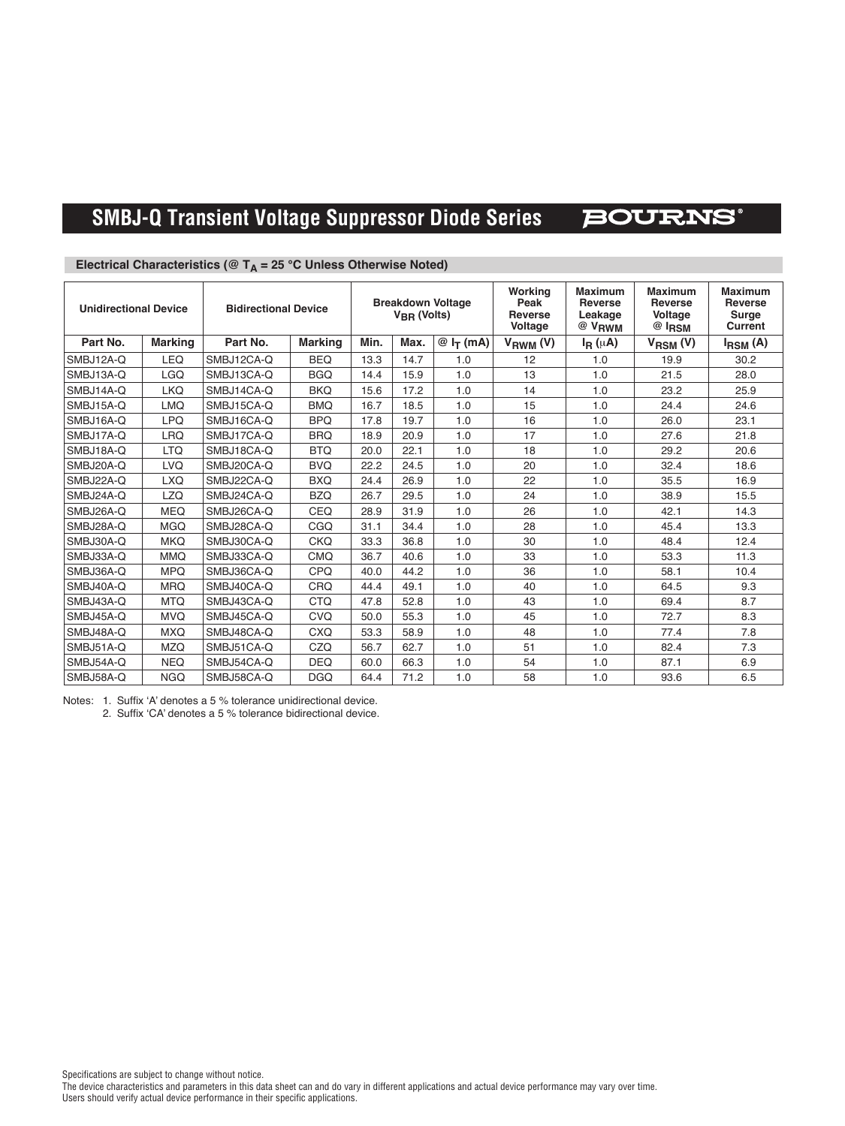### **SMBJ-Q Transient Voltage Suppressor Diode Series BOURNS®**

| <b>Unidirectional Device</b> |                | <b>Bidirectional Device</b> |                | <b>Breakdown Voltage</b><br>$V_{\text{BR}}$ (Volts) |      | Working<br>Peak<br><b>Reverse</b><br>Voltage | <b>Maximum</b><br><b>Reverse</b><br>Leakage<br>$@$ $V_{RWM}$ | <b>Maximum</b><br><b>Reverse</b><br>Voltage<br>$@I_{\mathsf{RSM}}$ | <b>Maximum</b><br><b>Reverse</b><br><b>Surge</b><br><b>Current</b> |                     |
|------------------------------|----------------|-----------------------------|----------------|-----------------------------------------------------|------|----------------------------------------------|--------------------------------------------------------------|--------------------------------------------------------------------|--------------------------------------------------------------------|---------------------|
| Part No.                     | <b>Marking</b> | Part No.                    | <b>Marking</b> | Min.                                                | Max. | $@I_{T}(mA)$                                 | $V_{RWM} (V)$                                                | $I_R(\mu A)$                                                       | $V_{\text{RSM}}(V)$                                                | $I_{\text{RSM}}(A)$ |
| SMBJ12A-Q                    | LEQ            | SMBJ12CA-Q                  | <b>BEQ</b>     | 13.3                                                | 14.7 | 1.0                                          | 12                                                           | 1.0                                                                | 19.9                                                               | 30.2                |
| SMBJ13A-Q                    | <b>LGQ</b>     | SMBJ13CA-Q                  | <b>BGQ</b>     | 14.4                                                | 15.9 | 1.0                                          | 13                                                           | 1.0                                                                | 21.5                                                               | 28.0                |
| SMBJ14A-Q                    | <b>LKQ</b>     | SMBJ14CA-Q                  | <b>BKQ</b>     | 15.6                                                | 17.2 | 1.0                                          | 14                                                           | 1.0                                                                | 23.2                                                               | 25.9                |
| SMBJ15A-Q                    | <b>LMQ</b>     | SMBJ15CA-Q                  | <b>BMQ</b>     | 16.7                                                | 18.5 | 1.0                                          | 15                                                           | 1.0                                                                | 24.4                                                               | 24.6                |
| SMBJ16A-Q                    | <b>LPQ</b>     | SMBJ16CA-Q                  | <b>BPQ</b>     | 17.8                                                | 19.7 | 1.0                                          | 16                                                           | 1.0                                                                | 26.0                                                               | 23.1                |
| SMBJ17A-Q                    | <b>LRQ</b>     | SMBJ17CA-Q                  | <b>BRQ</b>     | 18.9                                                | 20.9 | 1.0                                          | 17                                                           | 1.0                                                                | 27.6                                                               | 21.8                |
| SMBJ18A-Q                    | <b>LTQ</b>     | SMBJ18CA-Q                  | <b>BTQ</b>     | 20.0                                                | 22.1 | 1.0                                          | 18                                                           | 1.0                                                                | 29.2                                                               | 20.6                |
| SMBJ20A-Q                    | <b>LVQ</b>     | SMBJ20CA-Q                  | <b>BVQ</b>     | 22.2                                                | 24.5 | 1.0                                          | 20                                                           | 1.0                                                                | 32.4                                                               | 18.6                |
| SMBJ22A-Q                    | <b>LXQ</b>     | SMBJ22CA-Q                  | <b>BXQ</b>     | 24.4                                                | 26.9 | 1.0                                          | 22                                                           | 1.0                                                                | 35.5                                                               | 16.9                |
| SMBJ24A-Q                    | <b>LZQ</b>     | SMBJ24CA-Q                  | <b>BZQ</b>     | 26.7                                                | 29.5 | 1.0                                          | 24                                                           | 1.0                                                                | 38.9                                                               | 15.5                |
| SMBJ26A-Q                    | <b>MEQ</b>     | SMBJ26CA-Q                  | CEQ            | 28.9                                                | 31.9 | 1.0                                          | 26                                                           | 1.0                                                                | 42.1                                                               | 14.3                |
| SMBJ28A-Q                    | <b>MGQ</b>     | SMBJ28CA-Q                  | CGQ            | 31.1                                                | 34.4 | 1.0                                          | 28                                                           | 1.0                                                                | 45.4                                                               | 13.3                |
| SMBJ30A-Q                    | <b>MKQ</b>     | SMBJ30CA-Q                  | CKO            | 33.3                                                | 36.8 | 1.0                                          | 30                                                           | 1.0                                                                | 48.4                                                               | 12.4                |
| SMBJ33A-Q                    | <b>MMQ</b>     | SMBJ33CA-Q                  | <b>CMQ</b>     | 36.7                                                | 40.6 | 1.0                                          | 33                                                           | 1.0                                                                | 53.3                                                               | 11.3                |
| SMBJ36A-Q                    | <b>MPQ</b>     | SMBJ36CA-Q                  | CPQ            | 40.0                                                | 44.2 | 1.0                                          | 36                                                           | 1.0                                                                | 58.1                                                               | 10.4                |
| SMBJ40A-Q                    | <b>MRQ</b>     | SMBJ40CA-Q                  | CRQ            | 44.4                                                | 49.1 | 1.0                                          | 40                                                           | 1.0                                                                | 64.5                                                               | 9.3                 |
| SMBJ43A-Q                    | <b>MTQ</b>     | SMBJ43CA-Q                  | <b>CTQ</b>     | 47.8                                                | 52.8 | 1.0                                          | 43                                                           | 1.0                                                                | 69.4                                                               | 8.7                 |
| SMBJ45A-Q                    | <b>MVQ</b>     | SMBJ45CA-Q                  | CVQ            | 50.0                                                | 55.3 | 1.0                                          | 45                                                           | 1.0                                                                | 72.7                                                               | 8.3                 |
| SMBJ48A-Q                    | <b>MXQ</b>     | SMBJ48CA-Q                  | <b>CXQ</b>     | 53.3                                                | 58.9 | 1.0                                          | 48                                                           | 1.0                                                                | 77.4                                                               | 7.8                 |
| SMBJ51A-Q                    | <b>MZQ</b>     | SMBJ51CA-Q                  | CZQ            | 56.7                                                | 62.7 | 1.0                                          | 51                                                           | 1.0                                                                | 82.4                                                               | 7.3                 |
| SMBJ54A-Q                    | <b>NEQ</b>     | SMBJ54CA-Q                  | <b>DEQ</b>     | 60.0                                                | 66.3 | 1.0                                          | 54                                                           | 1.0                                                                | 87.1                                                               | 6.9                 |
| SMBJ58A-Q                    | <b>NGO</b>     | SMBJ58CA-Q                  | <b>DGO</b>     | 64.4                                                | 71.2 | 1.0                                          | 58                                                           | 1.0                                                                | 93.6                                                               | 6.5                 |

### **Electrical Characteristics (** $@T_A = 25 °C$  **Unless Otherwise Noted)**

Notes: 1. Suffix 'A' denotes a 5 % tolerance unidirectional device.

2. Suffix 'CA' denotes a 5 % tolerance bidirectional device.

Specifications are subject to change without notice.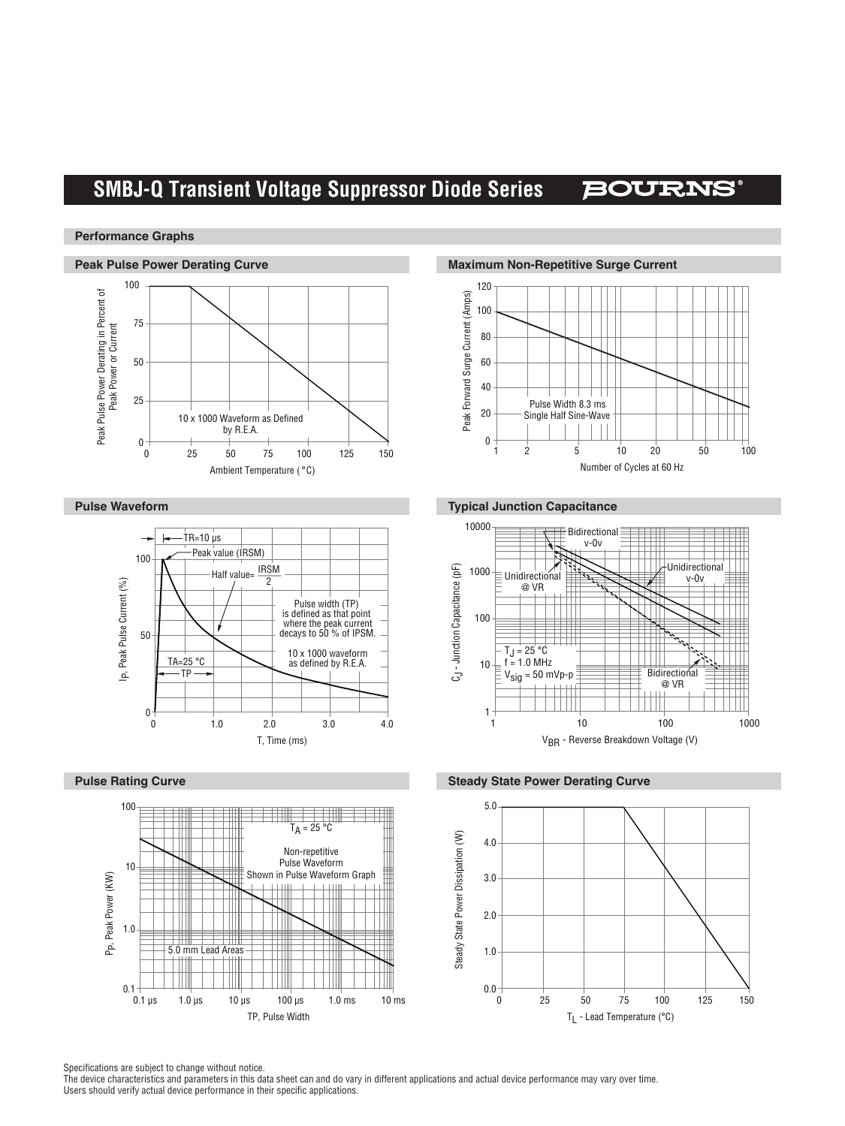# **SMBJ-Q Transient Voltage Suppressor Diode Series**

## **BOURNS®**

### **Performance Graphs**









### **Pulse Waveform Typical Junction Capacitance**



**Pulse Rating Curve Steady State Power Derating Curve Pulse Rating Curve Steady State Power Derating Curve** 



Specifications are subject to change without notice.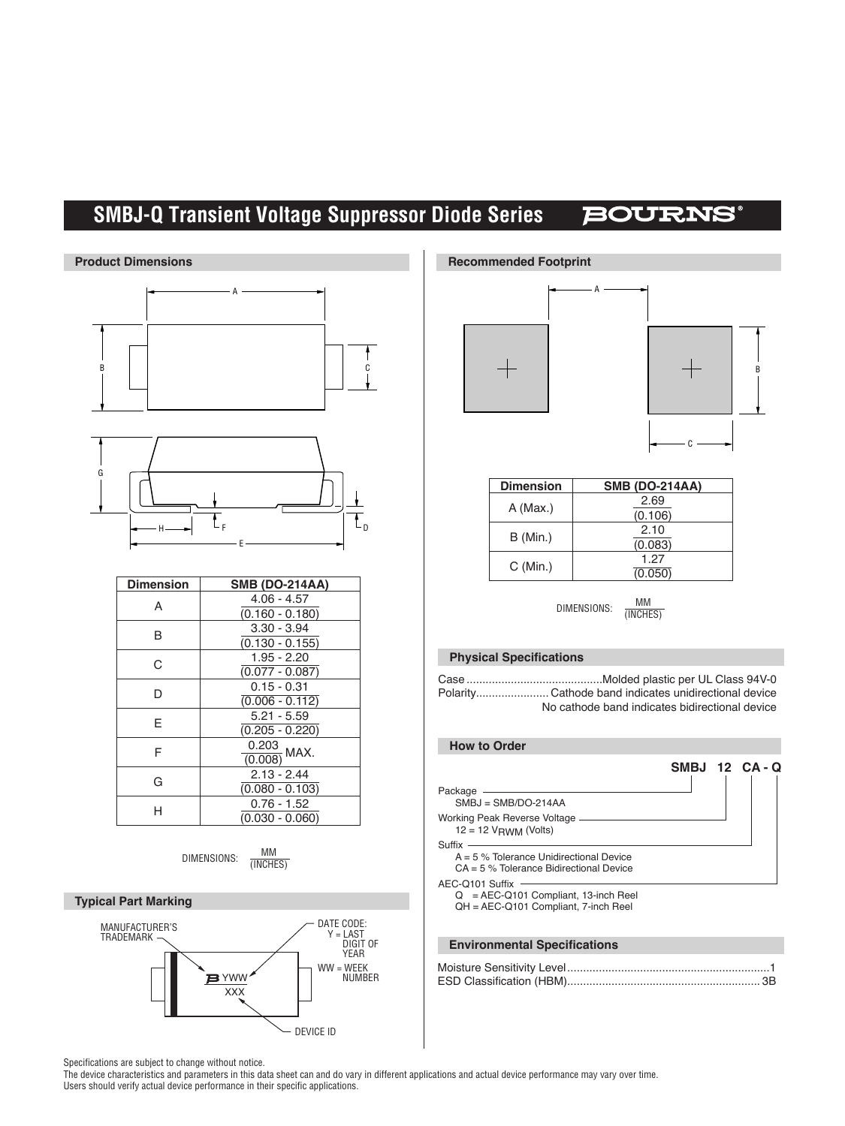# **SMBJ-Q Transient Voltage Suppressor Diode Series**

# **BOURNS®**



| יוטוטוועו | $UIIIU$ (DV LITAR)           |  |  |
|-----------|------------------------------|--|--|
| Α         | $4.06 - 4.57$                |  |  |
|           | $(0.160 - 0.180)$            |  |  |
| B         | $3.30 - 3.94$                |  |  |
|           | $(0.130 - 0.155)$            |  |  |
| С         | $1.95 - 2.20$                |  |  |
|           | $(0.077 - 0.087)$            |  |  |
| D         | $0.15 - 0.31$                |  |  |
|           | $(0.006 - 0.112)$            |  |  |
| E         | $5.21 - 5.59$                |  |  |
|           | $(0.205 - 0.220)$            |  |  |
| F         | $\frac{0.203}{(0.008)}$ MAX. |  |  |
|           |                              |  |  |
| G         | $2.13 - 2.44$                |  |  |
|           | $(0.080 - 0.103)$            |  |  |
| н         | $0.76 - 1.52$                |  |  |
|           | $(0.030 - 0.060)$            |  |  |
|           |                              |  |  |













| <b>Dimension</b> | <b>SMB (DO-214AA)</b> |  |  |
|------------------|-----------------------|--|--|
|                  | 2.69                  |  |  |
| A (Max.)         | (0.106)               |  |  |
| B (Min.)         | 2.10                  |  |  |
|                  | (0.083)               |  |  |
| C (Min.)         | 1.27                  |  |  |
|                  | (0.050)               |  |  |

DIMENSIONS: MM (INCHES)

### **Physical Specifications**

| No cathode band indicates bidirectional device |
|------------------------------------------------|

### **How to Order**

|                                                                                                   |  | SMBJ 12 CA-Q |
|---------------------------------------------------------------------------------------------------|--|--------------|
| Package<br>$SMBJ = SMB/DO-214AA$                                                                  |  |              |
| Working Peak Reverse Voltage -<br>$12 = 12$ V <sub>RWM</sub> (Volts)                              |  |              |
| Suffix<br>$A = 5$ % Tolerance Unidirectional Device<br>$CA = 5$ % Tolerance Bidirectional Device  |  |              |
| AEC-Q101 Suffix<br>$Q = AEC-Q101$ Compliant, 13-inch Reel<br>QH = AEC-Q101 Compliant, 7-inch Reel |  |              |

### **Environmental Specifications**

Specifications are subject to change without notice.